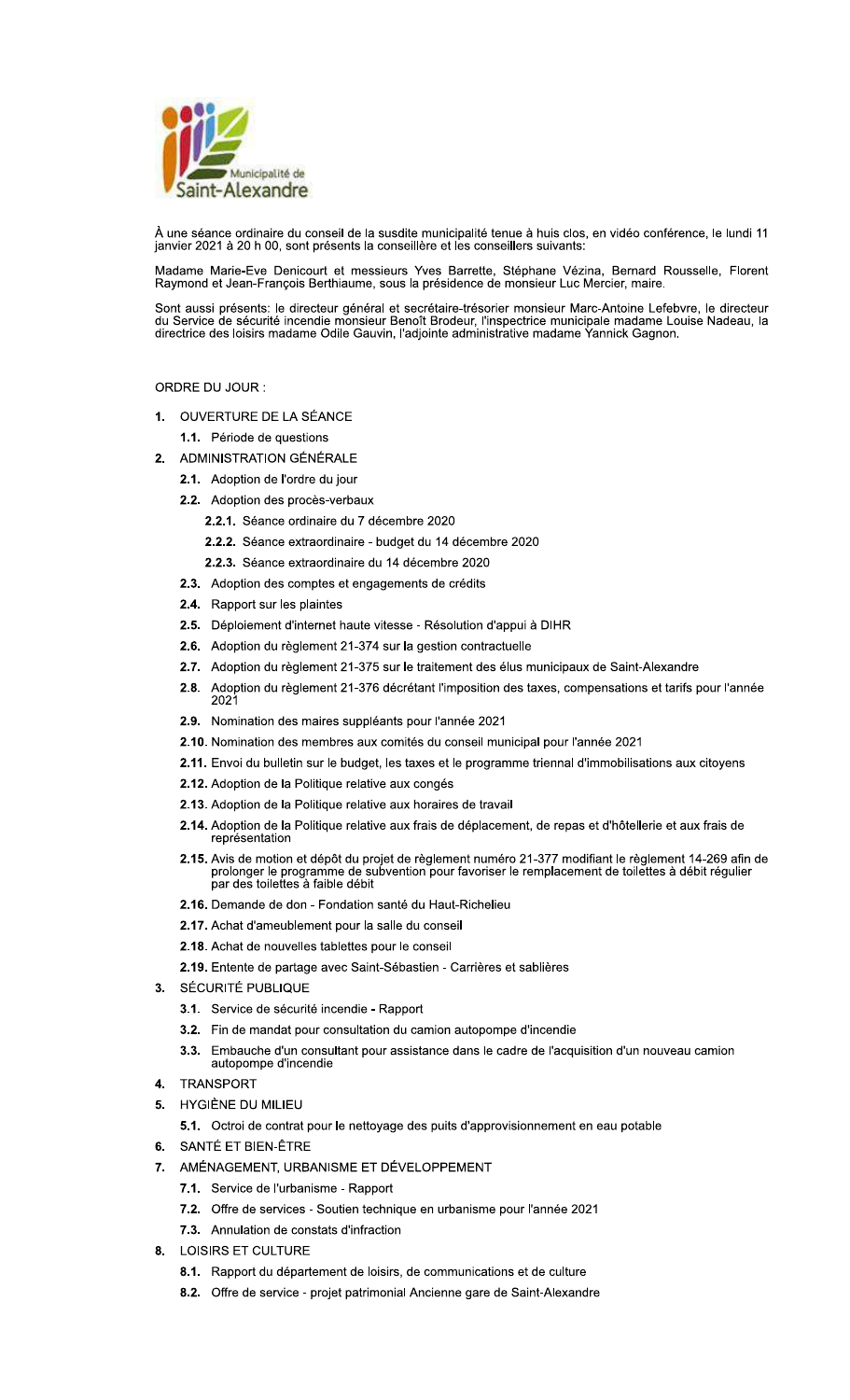

À une séance ordinaire du conseil de la susdite municipalité tenue à huis clos, en vidéo conférence, le lundi 11 janvier 2021 à 20 h 00, sont présents la conseillère et les conseillers suivants:

Madame Marie-Eve Denicourt et messieurs Yves Barrette, Stéphane Vézina, Bernard Rousselle, Florent<br>Raymond et Jean-François Berthiaume, sous la présidence de monsieur Luc Mercier, maire.

Sont aussi présents: le directeur général et secrétaire-trésorier monsieur Marc-Antoine Lefebvre, le directeur du Service de sécurité incendie monsieur Benoît Brodeur, l'inspectrice municipale madame Louise Nadeau, la<br>directrice des loisirs madame Odile Gauvin, l'adjointe administrative madame Yannick Gagnon.

# ORDRE DU JOUR :

- 1. OUVERTURE DE LA SÉANCE
	- 1.1. Période de questions
- 2. ADMINISTRATION GÉNÉRALE
	- 2.1. Adoption de l'ordre du jour
	- 2.2. Adoption des procès-verbaux
		- 2.2.1. Séance ordinaire du 7 décembre 2020
		- 2.2.2. Séance extraordinaire budget du 14 décembre 2020
		- 2.2.3. Séance extraordinaire du 14 décembre 2020
	- 2.3. Adoption des comptes et engagements de crédits
	- 2.4. Rapport sur les plaintes
	- 2.5. Déploiement d'internet haute vitesse Résolution d'appui à DIHR
	- 2.6. Adoption du règlement 21-374 sur la gestion contractuelle
	- 2.7. Adoption du règlement 21-375 sur le traitement des élus municipaux de Saint-Alexandre
	- 2.8. Adoption du règlement 21-376 décrétant l'imposition des taxes, compensations et tarifs pour l'année 202<sup>-</sup>
	- 2.9. Nomination des maires suppléants pour l'année 2021
	- 2.10. Nomination des membres aux comités du conseil municipal pour l'année 2021
	- 2.11. Envoi du bulletin sur le budget, les taxes et le programme triennal d'immobilisations aux citoyens
	- 2.12. Adoption de la Politique relative aux congés
	- 2.13. Adoption de la Politique relative aux horaires de travail
	- 2.14. Adoption de la Politique relative aux frais de déplacement, de repas et d'hôtellerie et aux frais de représentation
	- 2.15. Avis de motion et dépôt du projet de règlement numéro 21-377 modifiant le règlement 14-269 afin de prolonger le programme de subvention pour favoriser le remplacement de toilettes à débit régulier<br>par des toilettes à faible débit
	- 2.16. Demande de don Fondation santé du Haut-Richelieu
	- 2.17. Achat d'ameublement pour la salle du conseil
	- 2.18. Achat de nouvelles tablettes pour le conseil
	- 2.19. Entente de partage avec Saint-Sébastien Carrières et sablières
- 3. SÉCURITÉ PUBLIQUE
	- 3.1. Service de sécurité incendie Rapport
	- 3.2. Fin de mandat pour consultation du camion autopompe d'incendie
	- Embauche d'un consultant pour assistance dans le cadre de l'acquisition d'un nouveau camion  $3.3.$ autopompe d'incendie
- 4. TRANSPORT
- 5. HYGIÈNE DU MILIEU
	- 5.1. Octroi de contrat pour le nettoyage des puits d'approvisionnement en eau potable
- 6. SANTÉ ET BIEN-ÊTRE
- 7. AMÉNAGEMENT, URBANISME ET DÉVELOPPEMENT
	- 7.1. Service de l'urbanisme Rapport
	- 7.2. Offre de services Soutien technique en urbanisme pour l'année 2021
	- 7.3. Annulation de constats d'infraction
- **LOISIRS ET CULTURE**  $8.$ 
	- 8.1. Rapport du département de loisirs, de communications et de culture
	- 8.2. Offre de service projet patrimonial Ancienne gare de Saint-Alexandre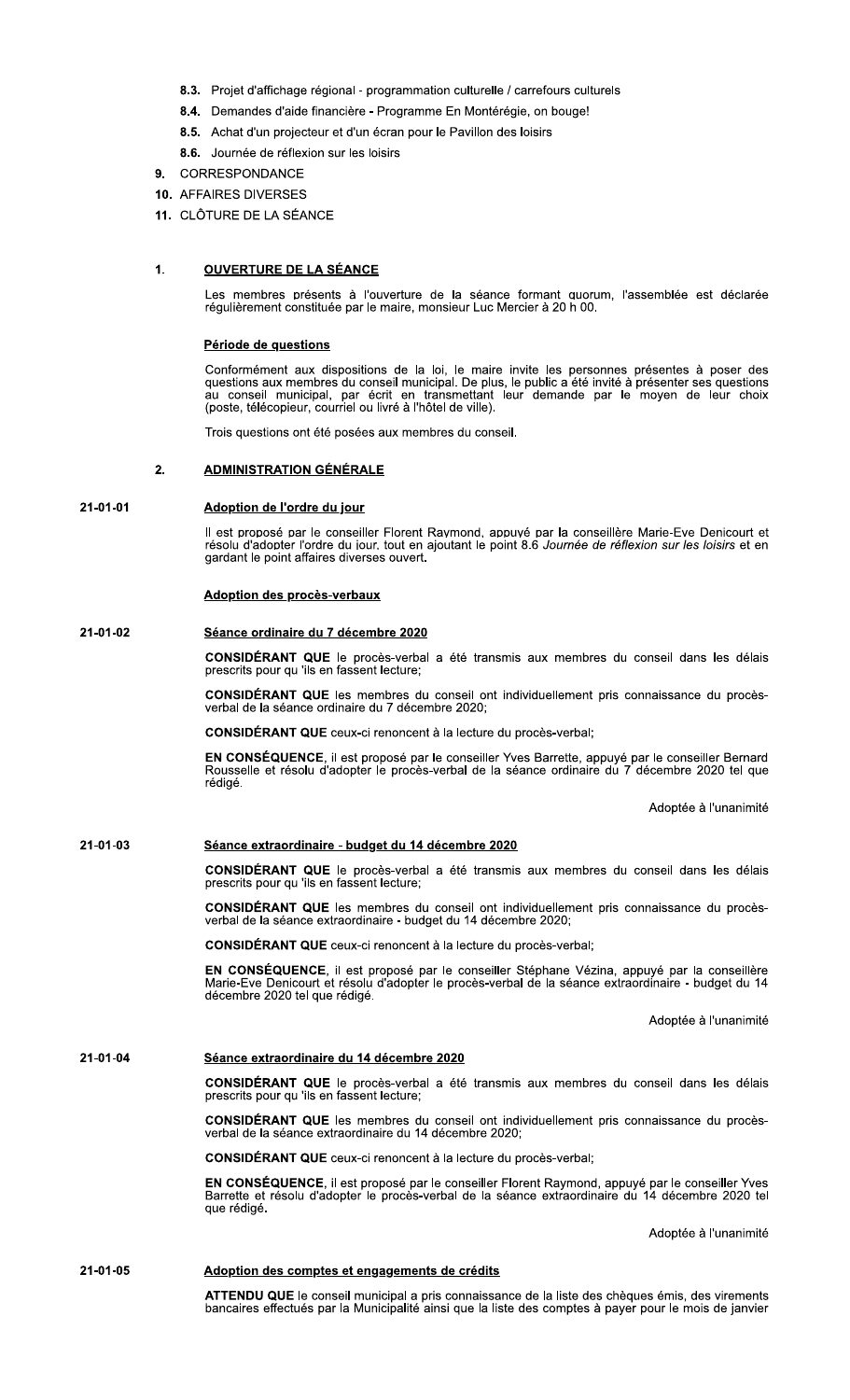- 8.3. Projet d'affichage régional programmation culturelle / carrefours culturels
- 8.4. Demandes d'aide financière Programme En Montérégie, on bouge!
- 8.5. Achat d'un projecteur et d'un écran pour le Pavillon des loisirs
- 8.6. Journée de réflexion sur les loisirs
- 9. CORRESPONDANCE
- 10. AFFAIRES DIVERSES
- 11. CLÔTURE DE LA SÉANCE

### $\mathbf{1}$ . <u>OUVERTURE DE LA SÉANCE</u>

Les membres présents à l'ouverture de la séance formant quorum, l'assemblée est déclarée régulièrement constituée par le maire, monsieur Luc Mercier à 20 h 00.

# Période de questions

Conformément aux dispositions de la loi, le maire invite les personnes présentes à poser des questions aux membres du conseil municipal. De plus, le public a été invité à présenter ses questions au conseil municipal, par écrit en transmettant leur demande par le moyen de leur choix<br>(poste, télécopieur, courriel ou livré à l'hôtel de ville).

Trois questions ont été posées aux membres du conseil.

### **ADMINISTRATION GÉNÉRALE**  $2.$

### 21-01-01 Adoption de l'ordre du jour

Il est proposé par le conseiller Florent Raymond, appuyé par la conseillère Marie-Eve Denicourt et résolu d'adopter l'ordre du jour, tout en ajoutant le point 8.6 Journée de réflexion sur les loisirs et en gardant le point affaires diverses ouvert.

# **Adoption des procès-verbaux**

### 21-01-02 Séance ordinaire du 7 décembre 2020

CONSIDÉRANT QUE le procès-verbal a été transmis aux membres du conseil dans les délais prescrits pour qu 'ils en fassent lecture;

CONSIDÉRANT QUE les membres du conseil ont individuellement pris connaissance du procèsverbal de la séance ordinaire du 7 décembre 2020;

CONSIDÉRANT QUE ceux-ci renoncent à la lecture du procès-verbal;

EN CONSÉQUENCE, il est proposé par le conseiller Yves Barrette, appuyé par le conseiller Bernard<br>Rousselle et résolu d'adopter le procès-verbal de la séance ordinaire du 7 décembre 2020 tel que rédigé.

Adoptée à l'unanimité

### 21-01-03 Séance extraordinaire - budget du 14 décembre 2020

CONSIDÉRANT QUE le procès-verbal a été transmis aux membres du conseil dans les délais prescrits pour qu 'ils en fassent lecture;

CONSIDÉRANT QUE les membres du conseil ont individuellement pris connaissance du procès-<br>verbal de la séance extraordinaire - budget du 14 décembre 2020;

**CONSIDÉRANT QUE** ceux-ci renoncent à la lecture du procès-verbal;

EN CONSÉQUENCE, il est proposé par le conseiller Stéphane Vézina, appuyé par la conseillère Marie-Eve Denicourt et résolu d'adopter le procès-verbal de la séance extraordinaire - budget du 14<br>décembre 2020 tel que rédigé.

Adoptée à l'unanimité

#### 21-01-04 Séance extraordinaire du 14 décembre 2020

CONSIDÉRANT QUE le procès-verbal a été transmis aux membres du conseil dans les délais prescrits pour qu 'ils en fassent lecture;

CONSIDÉRANT QUE les membres du conseil ont individuellement pris connaissance du procèsverbal de la séance extraordinaire du 14 décembre 2020;

CONSIDÉRANT QUE ceux-ci renoncent à la lecture du procès-verbal;

EN CONSÉQUENCE, il est proposé par le conseiller Florent Raymond, appuyé par le conseiller Yves<br>Barrette et résolu d'adopter le procès-verbal de la séance extraordinaire du 14 décembre 2020 tel que rédigé.

Adoptée à l'unanimité

# 21-01-05 Adoption des comptes et engagements de crédits

ATTENDU QUE le conseil municipal a pris connaissance de la liste des chèques émis, des virements bancaires effectués par la Municipalité ainsi que la liste des comptes à payer pour le mois de janvier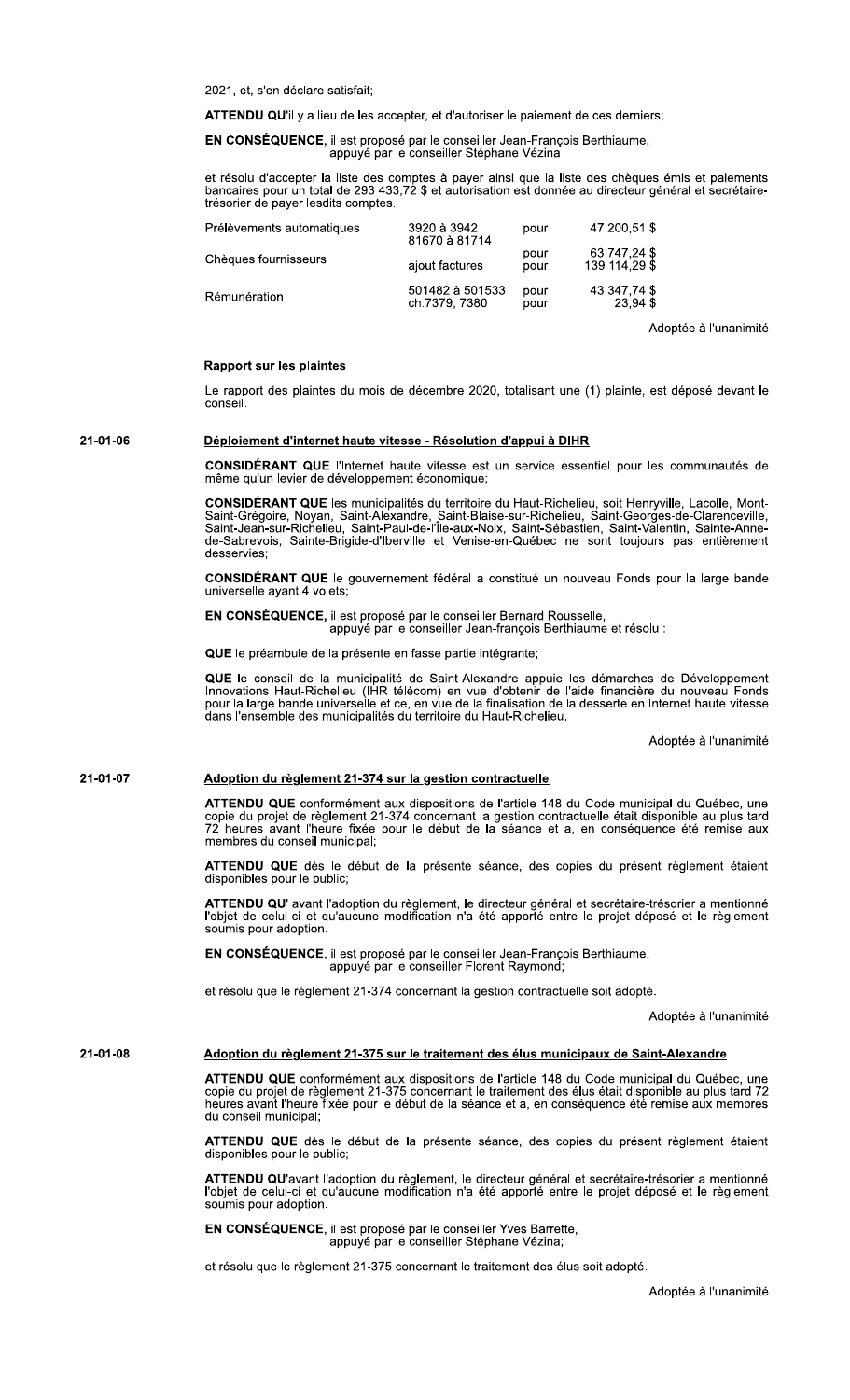accepter la liste des comptes a payer ainsi que la liste des cheques emis et paiements bancaires pour un total de 293 433,72 \$ et autorisation est donnee au directeur general et secretaire-<br>trésorier de payer lesdits comptes. e payer lesqits comptes.

| 2021, et, s'en déclare satisfait;                                                                                                                                                                                    |                                  |              |                               |       |  |
|----------------------------------------------------------------------------------------------------------------------------------------------------------------------------------------------------------------------|----------------------------------|--------------|-------------------------------|-------|--|
| <b>ATTENDU QU'il</b> y a lieu de les accepter, et d'autoriser le paiement de ces derniers;                                                                                                                           |                                  |              |                               |       |  |
| EN CONSÉQUENCE, il est proposé par le conseiller Jean-François Berthiaume,<br>appuyé par le conseiller Stéphane Vézina                                                                                               |                                  |              |                               |       |  |
| et résolu d'accepter la liste des comptes à payer ainsi que la liste des chèques ém<br>bancaires pour un total de 293 433,72 \$ et autorisation est donnée au directeur génér<br>trésorier de payer lesdits comptes. |                                  |              |                               |       |  |
| Prélèvements automatiques                                                                                                                                                                                            | 3920 à 3942<br>81670 à 81714     | pour         | 47 200.51 \$                  |       |  |
| Chèques fournisseurs                                                                                                                                                                                                 | ajout factures                   | pour<br>pour | 63 747,24 \$<br>139 114.29 \$ |       |  |
| Rémunération                                                                                                                                                                                                         | 501482 à 501533<br>ch.7379, 7380 | pour<br>pour | 43 347,74 \$<br>23.94 \$      |       |  |
|                                                                                                                                                                                                                      |                                  |              |                               | Adopt |  |

Adoptée à l'unanimité

Le rapport des plaintes du mois de decembre 2020, totalisant une (1) plainte, est depose de Rapport sur les plaintes<br>Le rapport des plaintes du mois de décembre 2020, totalisant une (1) plainte, est déposé devant le<br>conseil.<br>Déploiement d'internet haute vitesse - Résolution d'appui à DIHR<br>CONSIDÉRANT QUE l'Intern

21-01-06 Déploiement d'internet haute vitesse - Résolution d'appui à DIHR

CONSIDERANT QUE l'internet naute vitesse est un service essentiel pour les communautes de<br>même qu'un levier de développement économique; même qu'un levier de développement économique;

meme qu'un levier de developpement economique;<br>CONSIDÉRANT QUE les municipalités du territoire du Haut-Richelieu, soit Henryville, Lacolle, Mont-Saint-Gregoire, Noyan, Saint-Alexandre, Saint-Blaise-sur-Richelleu, Saint-Georges-de-Clarenceville,<br>Saint-Jean-sur-Richelleu, Saint-Paul-de-l'Île-aux-Noix, Saint-Sébastien, Saint-Valentin, Sainte-Annede-Sabrevois, Sainte-Brigide-d'Iberville et Venise-en-Quebec ne sont toujours pas entierement<br>desservies; Saint-Grégoire, Noyan, Saint-Alexandre, Saint-Blaise-sur-Richelieu, Saint-Georges-Saint-Jean-sur-Richelieu, Saint-Bau-sur-Richelieu, Saint-Sebastien, Saint-Valent<br>
Saint-Jean-sur-Richelieu, Saint-Paul-de-l'Île-aux-Noix, Sa

desservies;<br>**CONSIDÉRANT QUE** le gouvernement fédéral a constitué un nouveau Fonds pour la large bande universelle ayant 4 volets;

EN CONSÉQUENCE, il est proposé par le conseiller Bernard Rousselle,<br>: appuyé par le conseiller Jean-françois Berthiaume et résolu

QUE le préambule de la présente en fasse partie intégrante;

 $\overline{u}$  due to conseil de la municipalité de Saint-Alexandre appuie les demarches de Developpement Innovations Haut-Richelieu (IHR telecom) en vue d'obtenir de l'aide financiere du nouveau Fonds<br>pour la large bande universelle et ce, en vue de la finalisation de la desserte en Internet haute vitesse dans l'ensemble des municipalites du territoire du Haut-Richelleu.

Adoptee a runanimite

# 21-01-07 Adoption du règlement 21-374 sur la gestion contractuelle

ATTENDU QUE conformement aux dispositions de l'article 148 du Code municipal du Quebec, une copie du projet de regiement 21-374 concernant la gestion contractuelle etait disponible au plus tard rz neures avant l'heure fixee pour le debut de la seance et a, en consequence ete remise aux<br>membres du conseil municipal; membres du conseil municipal;

ATTENDU QUE des le debut de la presente seance, des copies du present reglement etalent<br>disponibles pour le public; disponibles pour le public:

ATTENDU QU'avant l'adoption du reglement, le directeur general et secretaire-tresorier a mentionne<br>l'objet de celui-ci et qu'aucune modification n'a été apporté entre le projet déposé et le règlement soumis pour adoption. membres du conseil municipal;<br> **ATTENDU QUE** dès le début de la présente séance, des copies du présent règ<br>
disponibles pour le public;<br> **ATTENDU QU'** avant l'adoption du règlement, le directeur général et secrétaire-tréso

EN CONSÉQUENCE, il est proposé par le conseiller Jean-François Berthiaume,<br>appuyé par le conseiller Florent Raymond;

et resolu que le regiement 21-374 concernant la gestion contractuelle soit adc

opte.<br>Adoptée à l'unanimité

# 21-01-08 Adoption du règlement 21-375 sur le traitement des élus municipaux de Saint-Alexandre

ATTENDO QUE conformement aux dispositions de l'article 148 du Code municipal du ATTENDU QUE conformement aux dispositions de l'article 148 du Code municipal du Quebec, une<br>copie du projet de règlement 21-375 concernant le traitement des élus était disponible au plus tard 72 neures avant l'heure fixee pour le debut de la seance et a, en consequence ete remise aux membres<br>du conseil municipal; du conseil municipal:

ATTENDU QUE des le debut de la presente seance, des copies du present reglement étaient disponibles pour le public;

ATTENDU QU'avant l'adoption du regiement, le directeur general et secretaire-tresorier a mentionne<br>l'objet de celui-ci et qu'aucune modification n'a été apporté entre le projet déposé et le règlement soumis pour adoption.

EN CONSÉQUENCE, il est proposé par le conseiller Yves Barrette,<br>appuyé par le conseiller Stéphane Vézina;

et resolu que le reglement 21-375 concernant le traitement des eius soit adc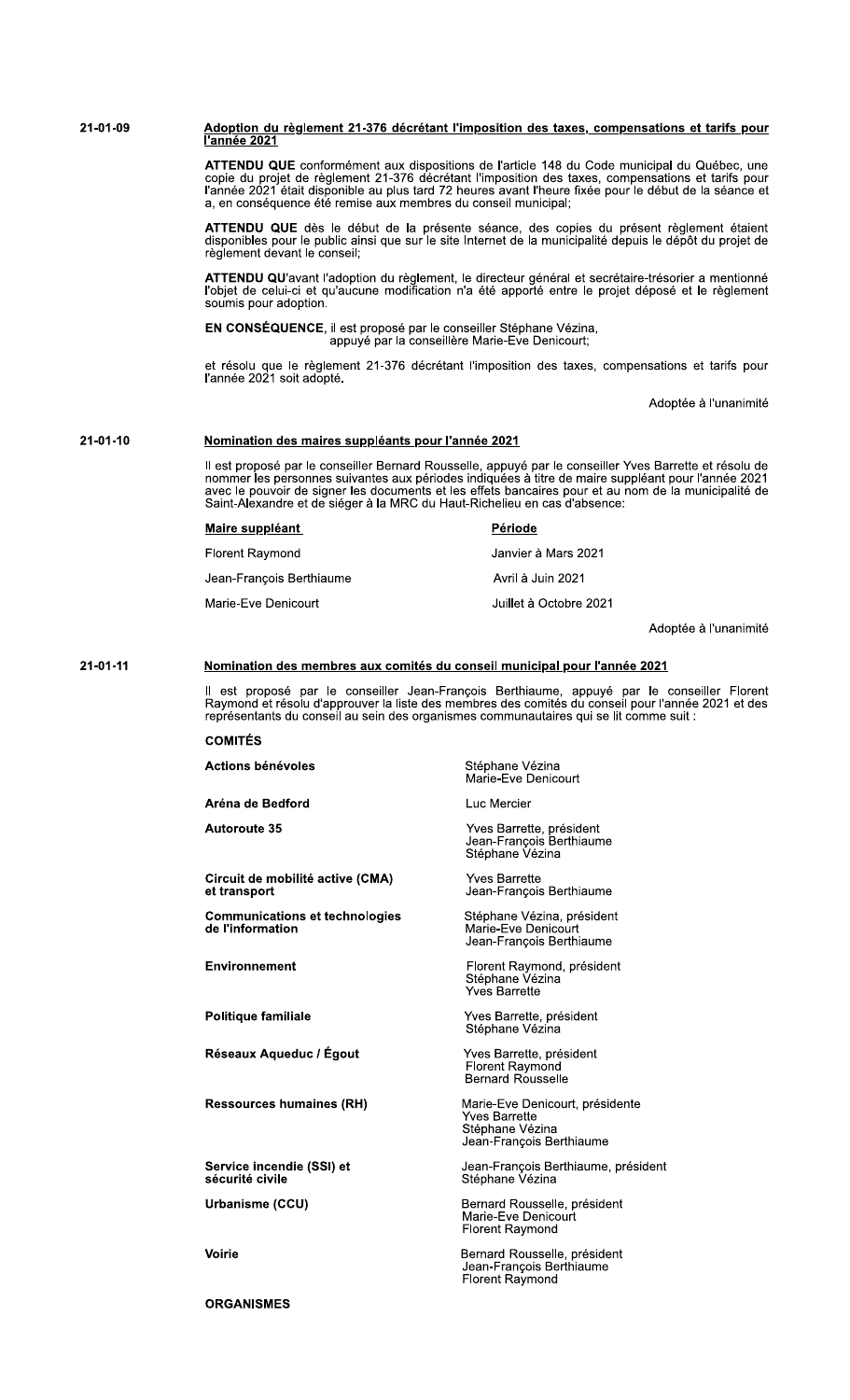# <u>Adoption du règlement 21-376 décrétant l'imposition des taxes, compensations et tarifs pour </u><br><u>l'année 2021</u> 21-01-09

ATTENDU QUE conformément aux dispositions de l'article 148 du Code municipal du Québec, une copie du projet de règlement 21-376 décrétant l'imposition des taxes, compensations et tarifs pour l'année 2021 était disponible a a, en conséquence été remise aux membres du conseil municipal;

ATTENDU QUE dès le début de la présente séance, des copies du présent règlement étaient disponibles pour le public ainsi que sur le site Internet de la municipalité depuis le dépôt du projet de règlement devant le conseil;

ATTENDU QU'avant l'adoption du règlement, le directeur général et secrétaire-trésorier a mentionné<br>l'objet de celui-ci et qu'aucune modification n'a été apporté entre le projet déposé et le règlement soumis pour adoption.

EN CONSÉQUENCE, il est proposé par le conseiller Stéphane Vézina,<br>appuyé par la conseillère Marie-Eve Denicourt;

et résolu que le règlement 21-376 décrétant l'imposition des taxes, compensations et tarifs pour<br>l'année 2021 soit adopté.

Adoptée à l'unanimité

# $21 - 01 - 10$ Nomination des maires suppléants pour l'année 2021

Il est proposé par le conseiller Bernard Rousselle, appuyé par le conseiller Yves Barrette et résolu de nommer les personnes suivantes aux périodes indiquées à titre de maire suppléant pour l'année 2021 avec le pouvoir de Saint-Alexandre et de siéger à la MRC du Haut-Richelieu en cas d'absence:

| Maire suppléant          | <b>Période</b>         |
|--------------------------|------------------------|
| <b>Florent Raymond</b>   | Janvier à Mars 2021    |
| Jean-Francois Berthiaume | Avril à Juin 2021      |
| Marie-Eve Denicourt      | Juillet à Octobre 2021 |

Adoptée à l'unanimité

#### $21 - 01 - 11$ Nomination des membres aux comités du conseil municipal pour l'année 2021

Il est proposé par le conseiller Jean-François Berthiaume, appuyé par le conseiller Florent<br>Raymond et résolu d'approuver la liste des membres des comités du conseil pour l'année 2021 et des<br>représentants du conseil au sei

# **COMITÉS**

Actions bénévoles Stéphane Vézina Marie-Eve Denicourt Aréna de Bedford Luc Mercier Yves Barrette, président<br>Jean-François Berthiaume<br>Stéphane Vézina **Autoroute 35** Circuit de mobilité active (CMA) **Yves Barrette** Jean-François Berthiaume et transport Stéphane Vézina, président **Communications et technologies** de l'information Marie-Eve Denicourt Jean-François Berthiaume Florent Raymond, président<br>Stéphane Vézina<br>Yves Barrette Environnement Politique familiale Yves Barrette, président Stéphane Vézina Réseaux Aqueduc / Égout Yves Barrette, président Florent Raymond<br>Bernard Rousselle **Ressources humaines (RH)** 

Marie-Eve Denicourt, présidente Yves Barrette Stéphane Vézina Jean-François Berthiaume

Jean-François Berthiaume, président<br>Stéphane Vézina

Bernard Rousselle, président Marie-Eve Denicourt<br>Florent Raymond

Bernard Rousselle, président<br>Jean-François Berthiaume<br>Florent Raymond

**Voirie** 

**ORGANISMES** 

sécurité civile Urbanisme (CCU)

Service incendie (SSI) et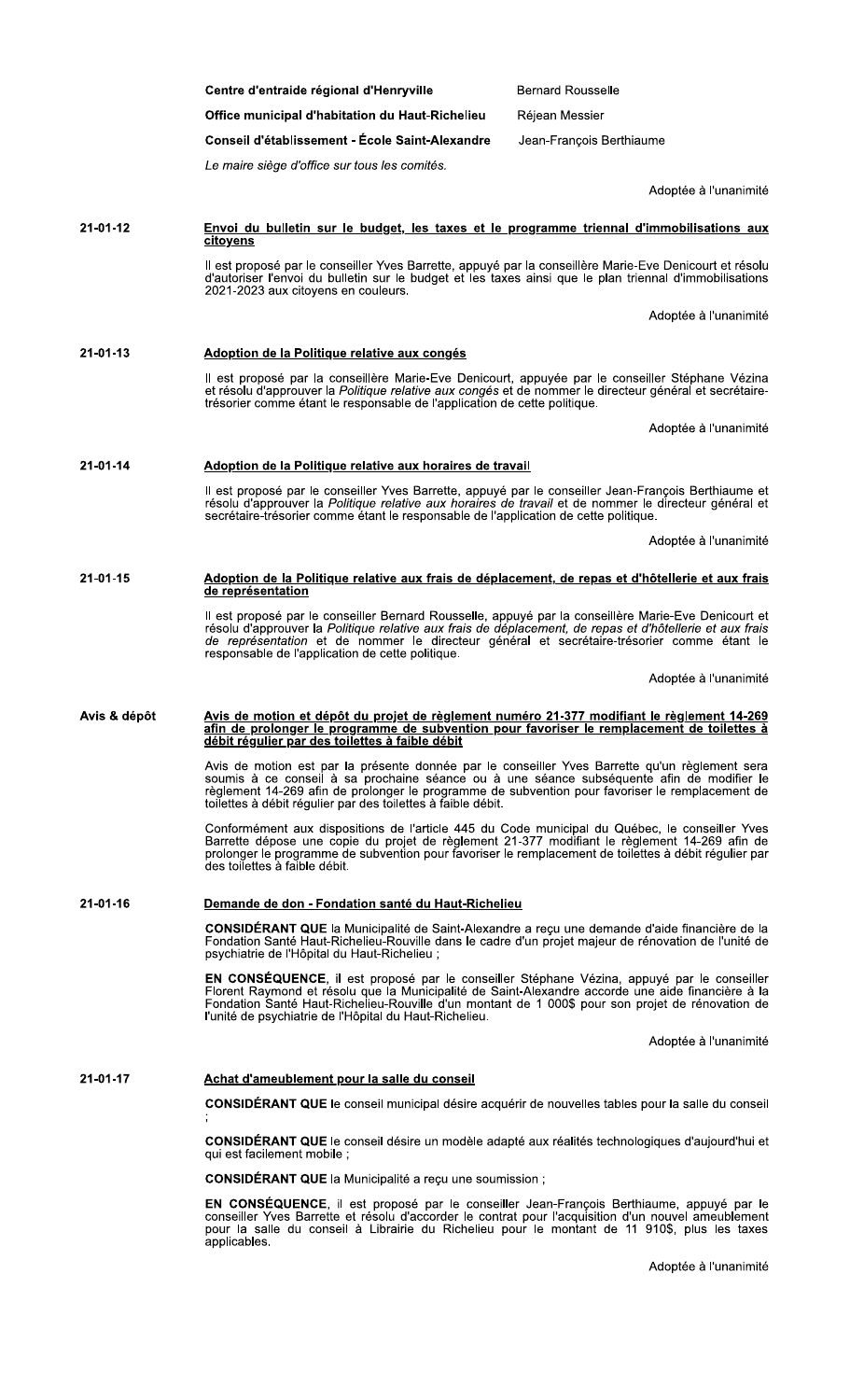|              | Centre d'entraide régional d'Henryville                                                                                                                                                                                                                                                                                                                            | <b>Bernard Rousselle</b> |  |  |
|--------------|--------------------------------------------------------------------------------------------------------------------------------------------------------------------------------------------------------------------------------------------------------------------------------------------------------------------------------------------------------------------|--------------------------|--|--|
|              | Office municipal d'habitation du Haut-Richelieu                                                                                                                                                                                                                                                                                                                    | Réjean Messier           |  |  |
|              | Conseil d'établissement - École Saint-Alexandre                                                                                                                                                                                                                                                                                                                    | Jean-François Berthiaume |  |  |
|              | Le maire siège d'office sur tous les comités.                                                                                                                                                                                                                                                                                                                      |                          |  |  |
|              |                                                                                                                                                                                                                                                                                                                                                                    | Adoptée à l'unanimité    |  |  |
| 21-01-12     | Envoi du bulletin sur le budget, les taxes et le programme triennal d'immobilisations aux<br><u>citoyens</u>                                                                                                                                                                                                                                                       |                          |  |  |
|              | Il est proposé par le conseiller Yves Barrette, appuyé par la conseillère Marie-Eve Denicourt et résolu<br>d'autoriser l'envoi du bulletin sur le budget et les taxes ainsi que le plan triennal d'immobilisations<br>2021-2023 aux citoyens en couleurs.                                                                                                          |                          |  |  |
|              |                                                                                                                                                                                                                                                                                                                                                                    | Adoptée à l'unanimité    |  |  |
| 21-01-13     | Adoption de la Politique relative aux congés                                                                                                                                                                                                                                                                                                                       |                          |  |  |
|              | Il est proposé par la conseillère Marie-Eve Denicourt, appuyée par le conseiller Stéphane Vézina<br>et résolu d'approuver la Politique relative aux congés et de nommer le directeur général et secrétaire-<br>trésorier comme étant le responsable de l'application de cette politique.                                                                           |                          |  |  |
|              |                                                                                                                                                                                                                                                                                                                                                                    | Adoptée à l'unanimité    |  |  |
| 21-01-14     | Adoption de la Politique relative aux horaires de travail                                                                                                                                                                                                                                                                                                          |                          |  |  |
|              | Il est proposé par le conseiller Yves Barrette, appuyé par le conseiller Jean-François Berthiaume et<br>résolu d'approuver la Politique relative aux horaires de travail et de nommer le directeur général et<br>secrétaire-trésorier comme étant le responsable de l'application de cette politique.                                                              |                          |  |  |
|              |                                                                                                                                                                                                                                                                                                                                                                    | Adoptée à l'unanimité    |  |  |
| 21-01-15     | Adoption de la Politique relative aux frais de déplacement, de repas et d'hôtellerie et aux frais                                                                                                                                                                                                                                                                  |                          |  |  |
|              | Il est proposé par le conseiller Bernard Rousselle, appuyé par la conseillère Marie-Eve Denicourt et<br>résolu d'approuver la Politique relative aux frais de déplacement, de repas et d'hôtellerie et aux frais<br>de représentation et de nommer le directeur général et secrétaire-trésorier comme étant le<br>responsable de l'application de cette politique. |                          |  |  |
|              |                                                                                                                                                                                                                                                                                                                                                                    | Adoptée à l'unanimité    |  |  |
| Avis & dépôt | Avis de motion et dépôt du projet de règlement numéro 21-377 modifiant le règlement 14-269<br>afin de prolonger le programme de subvention pour favoriser le remplacement de toilettes à<br>débit régulier par des toilettes à faible débit                                                                                                                        |                          |  |  |
|              | Avis de motion est par la présente donnée par le conseiller Yves Barrette qu'un règlement sera<br>soumis à ce conseil à sa prochaine séance ou à une séance subséquente afin de modifier le<br>règlement 14-269 afin de prolonger le programme de subvention pour favoriser le remplacement de<br>toilettes à débit régulier par des toilettes à faible débit.     |                          |  |  |
|              | Conformément aux dispositions de l'article 445 du Code municipal du Québec, le conseiller Yves<br>Barrette dépose une copie du projet de règlement 21-377 modifiant le règlement 14-269 afin de<br>prolonger le programme de subvention pour favoriser le remplacement de toilettes à débit régulier par<br>des toilettes à faible débit.                          |                          |  |  |
| 21-01-16     | Demande de don - Fondation santé du Haut-Richelieu                                                                                                                                                                                                                                                                                                                 |                          |  |  |
|              | CONSIDÉRANT QUE la Municipalité de Saint-Alexandre a reçu une demande d'aide financière de la<br>Fondation Santé Haut-Richelieu-Rouville dans le cadre d'un projet majeur de rénovation de l'unité de<br>psychiatrie de l'Hôpital du Haut-Richelieu;                                                                                                               |                          |  |  |
|              | EN CONSÉQUENCE, il est proposé par le conseiller Stéphane Vézina, appuyé par le conseiller<br>Florent Raymond et résolu que la Municipalité de Saint-Alexandre accorde une aide financière à la<br>Fondation Santé Haut-Richelieu-Rouville d'un montant de 1 000\$ pour son projet de rénovation de<br>l'unité de psychiatrie de l'Hôpital du Haut-Richelieu.      |                          |  |  |
|              |                                                                                                                                                                                                                                                                                                                                                                    | Adoptée à l'unanimité    |  |  |
| 21-01-17     | Achat d'ameublement pour la salle du conseil                                                                                                                                                                                                                                                                                                                       |                          |  |  |
|              | CONSIDÉRANT QUE le conseil municipal désire acquérir de nouvelles tables pour la salle du conseil                                                                                                                                                                                                                                                                  |                          |  |  |
|              | <b>CONSIDERANT QUE</b> le conseil désire un modèle adapté aux réalités technologiques d'aujourd'hui et<br>qui est facilement mobile ;                                                                                                                                                                                                                              |                          |  |  |
|              | CONSIDÉRANT QUE la Municipalité a reçu une soumission ;                                                                                                                                                                                                                                                                                                            |                          |  |  |
|              | EN CONSÉQUENCE, il est proposé par le conseiller Jean-François Berthiaume, appuyé par le                                                                                                                                                                                                                                                                           |                          |  |  |

EN CUNSEQUENCE, il est proposé par le conseiller Jean-François Berthiaume, appuyé par le conseiller Yves Barrette et résolu d'accorder le contrat pour l'acquisition d'un nouvel ameublement pour la salle du conseil à Librai

Adoptée à l'unanimité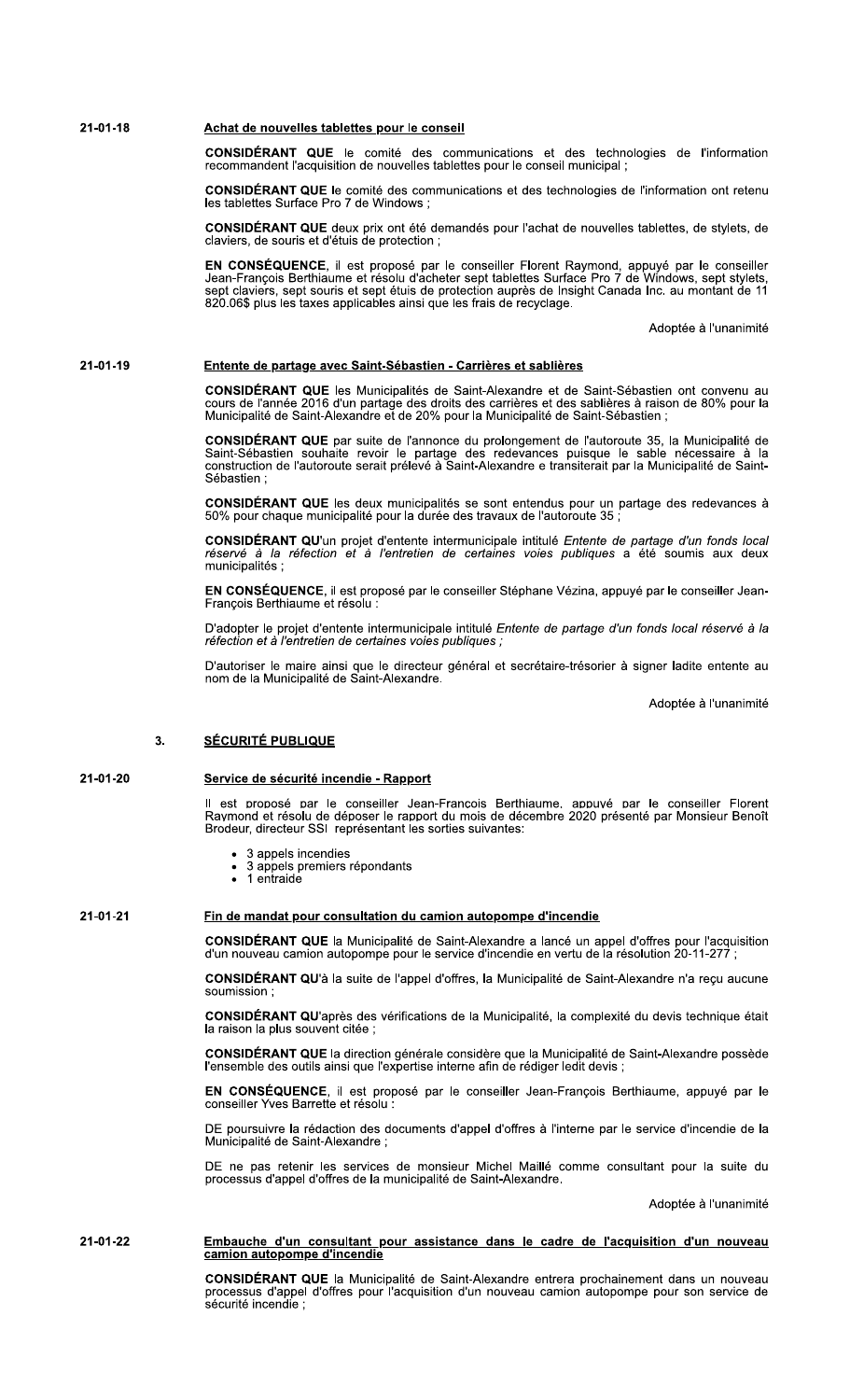### $21 - 01 - 18$ Achat de nouvelles tablettes pour le conseil

**CONSIDÉRANT QUE** le comité des communications et des technologies de l'information recommandent l'acquisition de nouvelles tablettes pour le conseil municipal ;

**CONSIDÉRANT QUE** le comité des communications et des technologies de l'information ont retenu<br>les tablettes Surface Pro 7 de Windows ;

CONSIDÉRANT QUE deux prix ont été demandés pour l'achat de nouvelles tablettes, de stylets, de claviers, de souris et d'étuis de protection ;

EN CONSÉQUENCE, il est proposé par le conseiller Florent Raymond, appuyé par le conseiller<br>Jean-François Berthiaume et résolu d'acheter sept tablettes Surface Pro 7 de Windows, sept stylets,<br>sept claviers, sept souris et s 820.06\$ plus les taxes applicables ainsi que les frais de recyclage.

Adoptée à l'unanimité

### 21-01-19 Entente de partage avec Saint-Sébastien - Carrières et sablières

CONSIDÉRANT QUE les Municipalités de Saint-Alexandre et de Saint-Sébastien ont convenu au<br>cours de l'année 2016 d'un partage des droits des carrières et des sablières à raison de 80% pour la<br>Municipalité de Saint-Alexandre

CONSIDÉRANT QUE par suite de l'annonce du prolongement de l'autoroute 35, la Municipalité de Saint-Sébastien souhaite revoir le partage des redevances puisque le sable nécessaire à la<br>construction de l'autoroute serait pré Sébastien:

CONSIDÉRANT QUE les deux municipalités se sont entendus pour un partage des redevances à 50% pour chaque municipalité pour la durée des travaux de l'autoroute 35 ;

CONSIDÉRANT QU'un projet d'entente intermunicipale intitulé Entente de partage d'un fonds local réservé à la réfection et à l'entretien de certaines voies publiques a été soumis aux deux municipalités ;

EN CONSÉQUENCE, il est proposé par le conseiller Stéphane Vézina, appuyé par le conseiller Jean-François Berthiaume et résolu :

D'adopter le projet d'entente intermunicipale intitulé Entente de partage d'un fonds local réservé à la réfection et à l'entretien de certaines voies publiques :

D'autoriser le maire ainsi que le directeur général et secrétaire-trésorier à signer ladite entente au<br>nom de la Municipalité de Saint-Alexandre.

Adoptée à l'unanimité

## **SÉCURITÉ PUBLIQUE**  $3<sub>1</sub>$

### 21-01-20 Service de sécurité incendie - Rapport

Il est proposé par le conseiller Jean-Francois Berthiaume, appuvé par le conseiller Florent<br>Ravmond et résolu de déposer le rapport du mois de décembre 2020 présenté par Monsieur Benoît Brodeur, directeur SSI représentant les sorties suivantes:

- 3 appels incendies
- 3 appels premiers répondants<br>1 entraide  $\bullet$
- 

# 21-01-21

CONSIDÉRANT QUE la Municipalité de Saint-Alexandre a lancé un appel d'offres pour l'acquisition<br>d'un nouveau camion autopompe pour le service d'incendie en vertu de la résolution 20-11-277 ;

CONSIDÉRANT QU'à la suite de l'appel d'offres, la Municipalité de Saint-Alexandre n'a reçu aucune soumission

CONSIDÉRANT QU'après des vérifications de la Municipalité, la complexité du devis technique était la raison la plus souvent citée ;

CONSIDÉRANT QUE la direction générale considère que la Municipalité de Saint-Alexandre possède l'ensemble des outils ainsi que l'expertise interne afin de rédiger ledit devis ;

EN CONSÉQUENCE, il est proposé par le conseiller Jean-François Berthiaume, appuyé par le conseiller Yves Barrette et résolu :

DE poursuivre la rédaction des documents d'appel d'offres à l'interne par le service d'incendie de la Municipalité de Saint-Alexandre :

DE ne pas retenir les services de monsieur Michel Maillé comme consultant pour la suite du<br>processus d'appel d'offres de la municipalité de Saint-Alexandre.

Adoptée à l'unanimité

# 21-01-22 Embauche d'un consultant pour assistance dans le cadre de l'acquisition d'un nouveau camion autopompe d'incendie

Fin de mandat pour consultation du camion autopompe d'incendie

CONSIDÉRANT QUE la Municipalité de Saint-Alexandre entrera prochainement dans un nouveau processus d'appel d'offres pour l'acquisition d'un nouveau camion autopompe pour son service de sécurité incendie :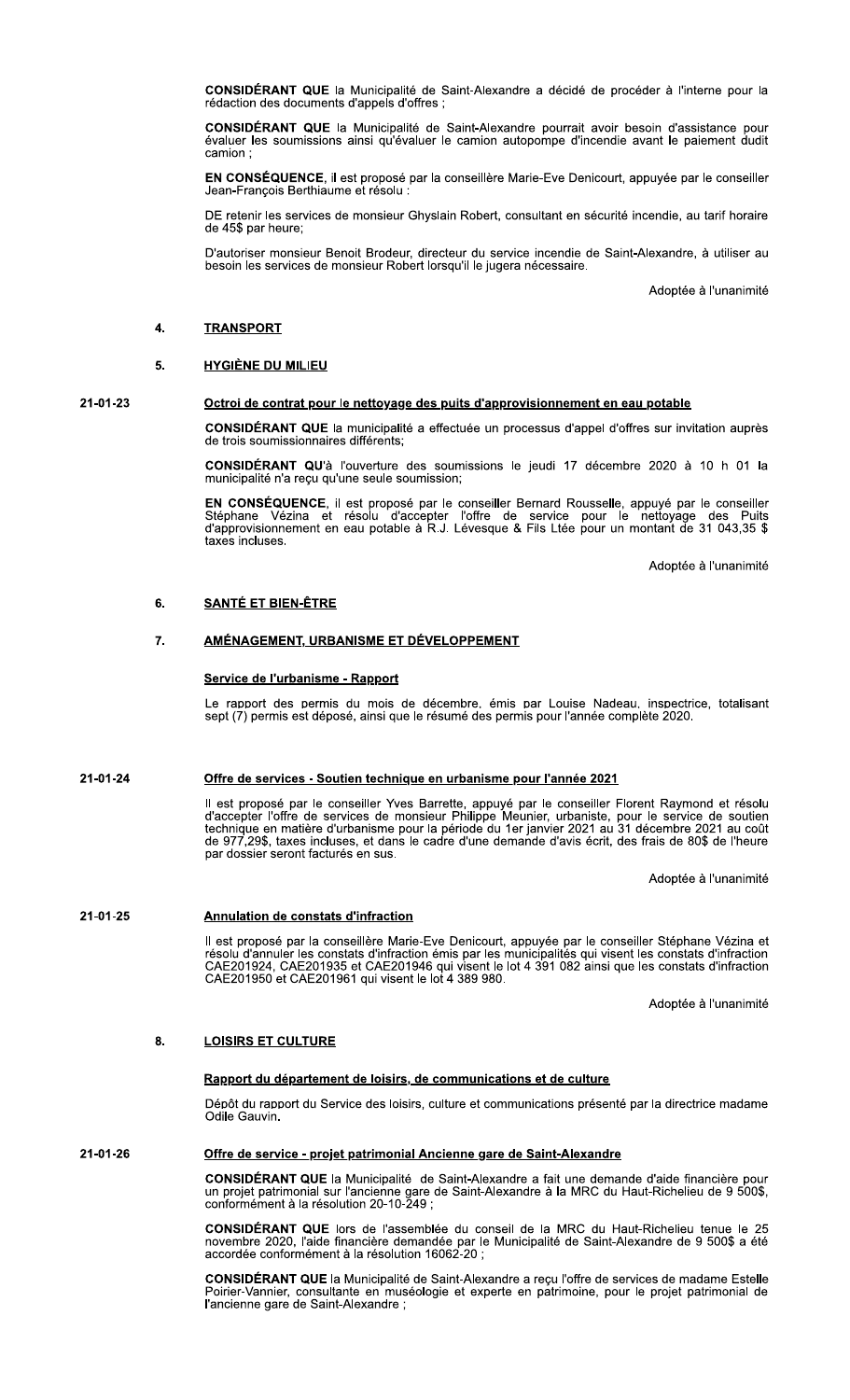CONSIDÉRANT QUE la Municipalité de Saint-Alexandre a décidé de procéder à l'interne pour la rédaction des documents d'appels d'offres ;

CONSIDÉRANT QUE la Municipalité de Saint-Alexandre pourrait avoir besoin d'assistance pour<br>évaluer les soumissions ainsi qu'évaluer le camion autopompe d'incendie avant le paiement dudit camion:

EN CONSÉQUENCE, il est proposé par la conseillère Marie-Eve Denicourt, appuyée par le conseiller Jean-François Berthiaume et résolu :

DE retenir les services de monsieur Ghyslain Robert, consultant en sécurité incendie, au tarif horaire de 45\$ par heure;

D'autoriser monsieur Benoit Brodeur, directeur du service incendie de Saint-Alexandre, à utiliser au besoin les services de monsieur Robert lorsqu'il le jugera nécessaire.

Adoptée à l'unanimité

## $\overline{\mathbf{4}}$ . **TRANSPORT**

## 5. **HYGIÈNE DU MILIEU**

# 21-01-23

# Octroi de contrat pour le nettoyage des puits d'approvisionnement en eau potable

CONSIDÉRANT QUE la municipalité a effectuée un processus d'appel d'offres sur invitation auprès de trois soumissionnaires différents:

CONSIDÉRANT QU'à l'ouverture des soumissions le jeudi 17 décembre 2020 à 10 h 01 la municipalité n'a reçu qu'une seule soumission;

EN CONSÉQUENCE, il est proposé par le conseiller Bernard Rousselle, appuyé par le conseiller<br>Stéphane Vézina et résolu d'accepter l'offre de service pour le nettoyage des Puits<br>d'approvisionnement en eau potable à R.J. Lév taxes incluses.

Adoptée à l'unanimité

### 6. **SANTÉ ET BIEN-ÊTRE**

# <u>AMÉNAGEMENT, URBANISME ET DÉVELOPPEMENT</u> 7.

# Service de l'urbanisme - Rapport

Le rapport des permis du mois de décembre, émis par Louise Nadeau, inspectrice, totalisant sept (7) permis est déposé, ainsi que le résumé des permis pour l'année complète 2020.

#### 21-01-24 Offre de services - Soutien technique en urbanisme pour l'année 2021

Il est proposé par le conseiller Yves Barrette, appuyé par le conseiller Florent Raymond et résolu d'accepter l'offre de services de monsieur Philippe Meunier, urbaniste, pour le service de soutien technique en matière d'u

Adoptée à l'unanimité

# 21-01-25 Annulation de constats d'infraction

Il est proposé par la conseillère Marie-Eve Denicourt, appuyée par le conseiller Stéphane Vézina et<br>résolu d'annuler les constats d'infraction émis par les municipalités qui visent les constats d'infraction<br>CAE201924, CAE2 CAE201950 et CAE201961 qui visent le lot 4 389 980.

Adoptée à l'unanimité

### 8. **LOISIRS ET CULTURE**

# Rapport du département de loisirs, de communications et de culture

Dépôt du rapport du Service des loisirs, culture et communications présenté par la directrice madame Odile Gauvin.

## 21-01-26 Offre de service - projet patrimonial Ancienne gare de Saint-Alexandre

**CONSIDÉRANT QUE** la Municipalité de Saint-Alexandre a fait une demande d'aide financière pour un projet patrimonial sur l'ancienne gare de Saint-Alexandre à la MRC du Haut-Richelieu de 9 500\$, conformément à la résolution

CONSIDÉRANT QUE lors de l'assemblée du conseil de la MRC du Haut-Richelieu tenue le 25 novembre 2020, l'aide financière demandée par le Municipalité de Saint-Alexandre de 9 500\$ a été<br>accordée conformément à la résolution 16062-20 ;

CONSIDÉRANT QUE la Municipalité de Saint-Alexandre a reçu l'offre de services de madame Estelle Poirier-Vannier, consultante en muséologie et experte en patrimoine, pour le projet patrimonial de l'ancienne gare de Saint-Alexandre ;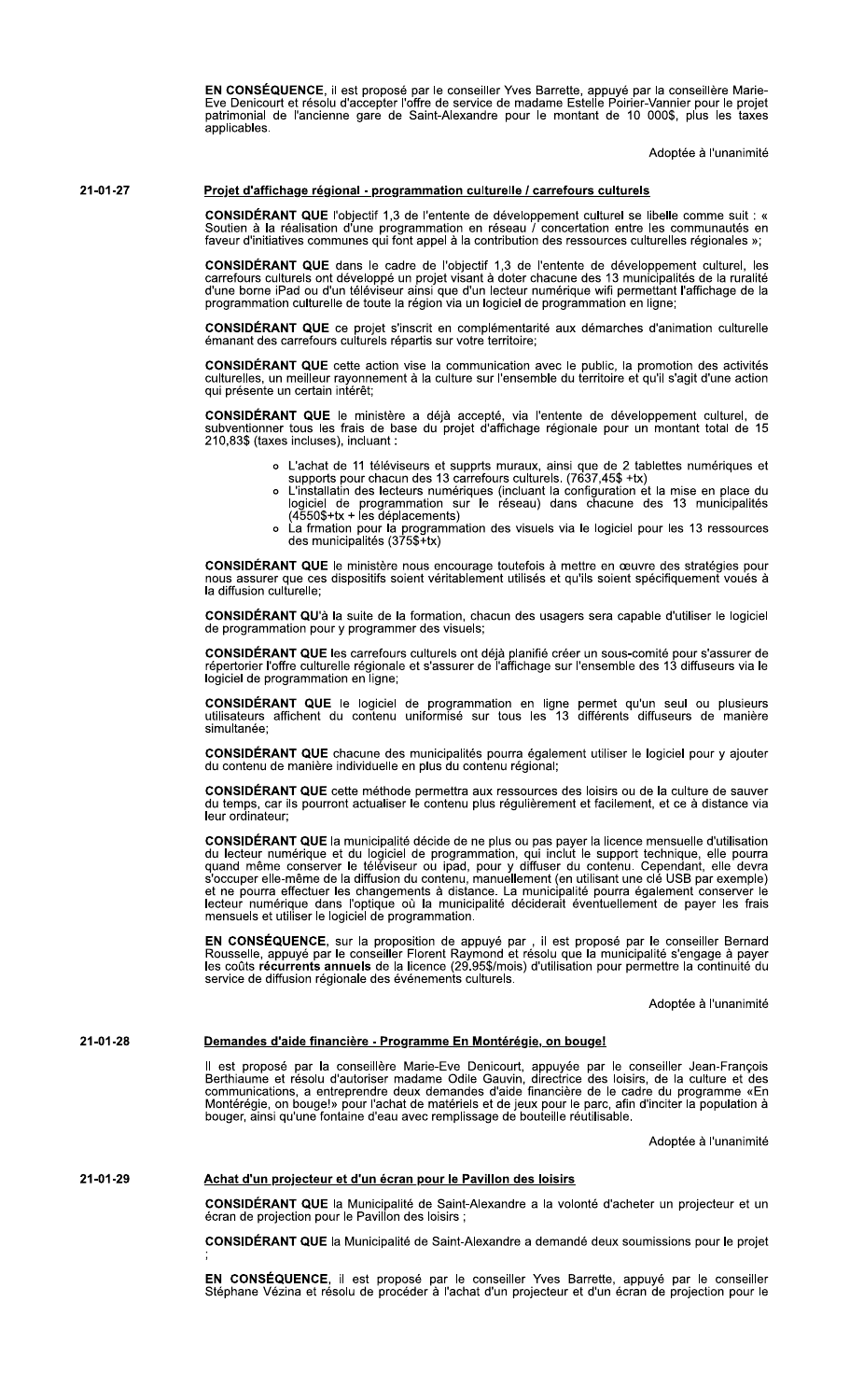EN CONSÉQUENCE, il est proposé par le conseiller Yves Barrette, appuyé par la conseillère Marie-Eve Denicourt et résolu d'accepter l'offre de service de madame Estelle Poirier-Vannier pour le projet<br>patrimonial de l'ancienne gare de Saint-Alexandre pour le montant de 10 000\$, plus les taxes applicables.

Adoptée à l'unanimité

21-01-27

# Projet d'affichage régional - programmation culturelle / carrefours culturels

CONSIDÉRANT QUE l'objectif 1,3 de l'entente de développement culturel se libelle comme suit : « Soutien à la réalisation d'une programmation en réseau l'concertation entre les communautés en faveur d'initiatives communes qui font appel à la contribution des ressources culturelles régionales »;

CONSIDÉRANT QUE dans le cadre de l'objectif 1,3 de l'entente de développement culturel, les<br>carrefours culturels ont développé un projet visant à doter chacune des 13 municipalités de la ruralité<br>d'une borne iPad ou d'un t programmation culturelle de toute la région via un logiciel de programmation en ligne;

**CONSIDÉRANT QUE** ce projet s'inscrit en complémentarité aux démarches d'animation culturelle émanant des carrefours culturels répartis sur votre territoire;

CONSIDÉRANT QUE cette action vise la communication avec le public, la promotion des activités culturelles, un meilleur rayonnement à la culture sur l'ensemble du territoire et qu'il s'agit d'une action qui présente un certain intérêt;

CONSIDÉRANT QUE le ministère a déjà accepté, via l'entente de développement culturel, de subventionner tous les frais de base du projet d'affichage régionale pour un montant total de 15 210,83\$ (taxes incluses), incluant :

- o L'achat de 11 téléviseurs et supprts muraux, ainsi que de 2 tablettes numériques et
- supports pour chacun des 13 carrefours culturels. (7637,45\$ +tx)<br>L'installatin des lecteurs numériques (incluant la configuration et la mise en place du  $\circ$ Dogiciel de programmation sur le réseau) dans chacune des 13 municipalités<br>(4550\$+tx + les déplacements)
- La frmation pour la programmation des visuels via le logiciel pour les 13 ressources<br>La frmation pour la programmation des visuels via le logiciel pour les 13 ressources

CONSIDÉRANT QUE le ministère nous encourage toutefois à mettre en œuvre des stratégies pour nous assurer que ces dispositifs soient véritablement utilisés et qu'ils soient spécifiquement voués à la diffusion culturelle:

CONSIDÉRANT QU'à la suite de la formation, chacun des usagers sera capable d'utiliser le logiciel de programmation pour y programmer des visuels;

CONSIDÉRANT QUE les carrefours culturels ont déjà planifié créer un sous-comité pour s'assurer de répertorier l'offre culturelle régionale et s'assurer de l'affichage sur l'ensemble des 13 diffuseurs via le logiciel de pro

CONSIDÉRANT QUE le logiciel de programmation en ligne permet qu'un seul ou plusieurs utilisateurs affichent du contenu uniformisé sur tous les 13 différents diffuseurs de manière simultanée:

CONSIDÉRANT QUE chacune des municipalités pourra également utiliser le logiciel pour y ajouter du contenu de manière individuelle en plus du contenu régional;

CONSIDÉRANT QUE cette méthode permettra aux ressources des loisirs ou de la culture de sauver<br>du temps, car ils pourront actualiser le contenu plus régulièrement et facilement, et ce à distance via leur ordinateur;

CONSIDÉRANT QUE la municipalité décide de ne plus ou pas payer la licence mensuelle d'utilisation du lecteur numérique et du logiciel de programmation, qui inclut le support technique, elle pourra<br>quand même conserver le téléviseur ou ipad, pour y diffuser du contenu. Cependant, elle devra<br>s'occuper elle-même de la dif lecteur numérique dans l'optique où la municipalité déciderait éventuellement de payer les frais mensuels et utiliser le logiciel de programmation.

EN CONSÉQUENCE, sur la proposition de appuyé par , il est proposé par le conseiller Bernard<br>Rousselle, appuyé par le conseiller Florent Raymond et résolu que la municipalité s'engage à payer<br>les coûts récurrents annuels de service de diffusion régionale des événements culturels.

Adoptée à l'unanimité

### 21-01-28 Demandes d'aide financière - Programme En Montérégie, on bouge!

Il est proposé par la conseillère Marie-Eve Denicourt, appuyée par le conseiller Jean-François<br>Berthiaume et résolu d'autoriser madame Odile Gauvin, directrice des loisirs, de la culture et des<br>communications, a entreprend Montérégie, on bouge!» pour l'achat de matériels et de jeux pour le parc, afin d'inciter la population à<br>bouger, ainsi qu'une fontaine d'eau avec remplissage de bouteille réutilisable.

Adoptée à l'unanimité

### 21-01-29 Achat d'un projecteur et d'un écran pour le Pavillon des loisirs

CONSIDÉRANT QUE la Municipalité de Saint-Alexandre a la volonté d'acheter un projecteur et un écran de projection pour le Pavillon des loisirs ;

CONSIDÉRANT QUE la Municipalité de Saint-Alexandre a demandé deux soumissions pour le projet

EN CONSÉQUENCE, il est proposé par le conseiller Yves Barrette, appuyé par le conseiller<br>Stéphane Vézina et résolu de procéder à l'achat d'un projecteur et d'un écran de projection pour le